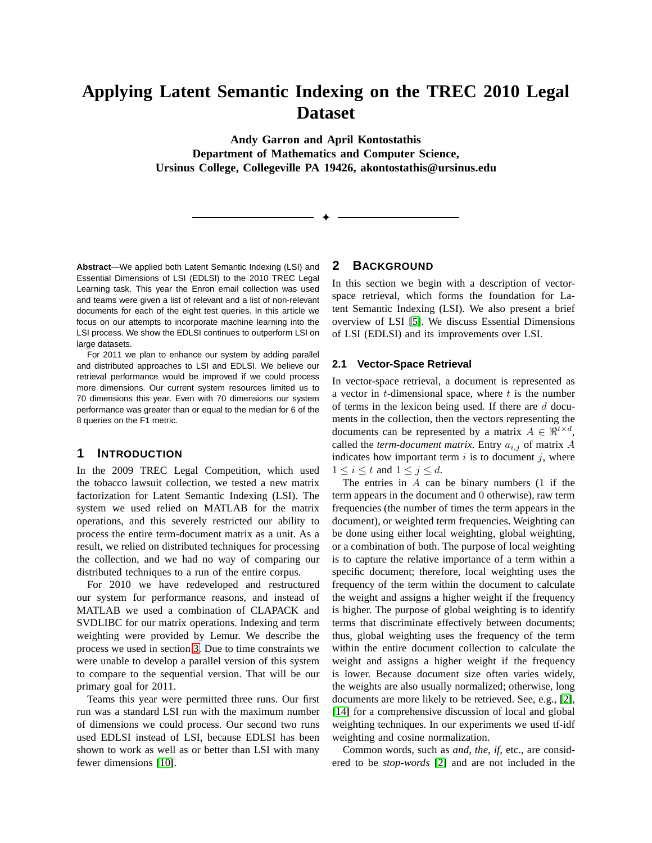# **Applying Latent Semantic Indexing on the TREC 2010 Legal Dataset**

**Andy Garron and April Kontostathis Department of Mathematics and Computer Science, Ursinus College, Collegeville PA 19426, akontostathis@ursinus.edu**

✦

**Abstract**—We applied both Latent Semantic Indexing (LSI) and Essential Dimensions of LSI (EDLSI) to the 2010 TREC Legal Learning task. This year the Enron email collection was used and teams were given a list of relevant and a list of non-relevant documents for each of the eight test queries. In this article we focus on our attempts to incorporate machine learning into the LSI process. We show the EDLSI continues to outperform LSI on large datasets.

For 2011 we plan to enhance our system by adding parallel and distributed approaches to LSI and EDLSI. We believe our retrieval performance would be improved if we could process more dimensions. Our current system resources limited us to 70 dimensions this year. Even with 70 dimensions our system performance was greater than or equal to the median for 6 of the 8 queries on the F1 metric.

### **1 INTRODUCTION**

In the 2009 TREC Legal Competition, which used the tobacco lawsuit collection, we tested a new matrix factorization for Latent Semantic Indexing (LSI). The system we used relied on MATLAB for the matrix operations, and this severely restricted our ability to process the entire term-document matrix as a unit. As a result, we relied on distributed techniques for processing the collection, and we had no way of comparing our distributed techniques to a run of the entire corpus.

For 2010 we have redeveloped and restructured our system for performance reasons, and instead of MATLAB we used a combination of CLAPACK and SVDLIBC for our matrix operations. Indexing and term weighting were provided by Lemur. We describe the process we used in section [3.](#page-2-0) Due to time constraints we were unable to develop a parallel version of this system to compare to the sequential version. That will be our primary goal for 2011.

Teams this year were permitted three runs. Our first run was a standard LSI run with the maximum number of dimensions we could process. Our second two runs used EDLSI instead of LSI, because EDLSI has been shown to work as well as or better than LSI with many fewer dimensions [\[10\]](#page-5-0).

#### **2 BACKGROUND**

In this section we begin with a description of vectorspace retrieval, which forms the foundation for Latent Semantic Indexing (LSI). We also present a brief overview of LSI [\[5\]](#page-5-1). We discuss Essential Dimensions of LSI (EDLSI) and its improvements over LSI.

#### **2.1 Vector-Space Retrieval**

In vector-space retrieval, a document is represented as a vector in  $t$ -dimensional space, where  $t$  is the number of terms in the lexicon being used. If there are  $d$  documents in the collection, then the vectors representing the documents can be represented by a matrix  $A \in \mathbb{R}^{t \times d}$ , called the *term-document matrix*. Entry  $a_{i,j}$  of matrix  $A$ indicates how important term  $i$  is to document  $j$ , where  $1 \leq i \leq t$  and  $1 \leq j \leq d$ .

The entries in  $A$  can be binary numbers  $(1 \text{ if the})$ term appears in the document and 0 otherwise), raw term frequencies (the number of times the term appears in the document), or weighted term frequencies. Weighting can be done using either local weighting, global weighting, or a combination of both. The purpose of local weighting is to capture the relative importance of a term within a specific document; therefore, local weighting uses the frequency of the term within the document to calculate the weight and assigns a higher weight if the frequency is higher. The purpose of global weighting is to identify terms that discriminate effectively between documents; thus, global weighting uses the frequency of the term within the entire document collection to calculate the weight and assigns a higher weight if the frequency is lower. Because document size often varies widely, the weights are also usually normalized; otherwise, long documents are more likely to be retrieved. See, e.g., [\[2\]](#page-4-0), [\[14\]](#page-5-2) for a comprehensive discussion of local and global weighting techniques. In our experiments we used tf-idf weighting and cosine normalization.

Common words, such as *and*, *the*, *if*, etc., are considered to be *stop-words* [\[2\]](#page-4-0) and are not included in the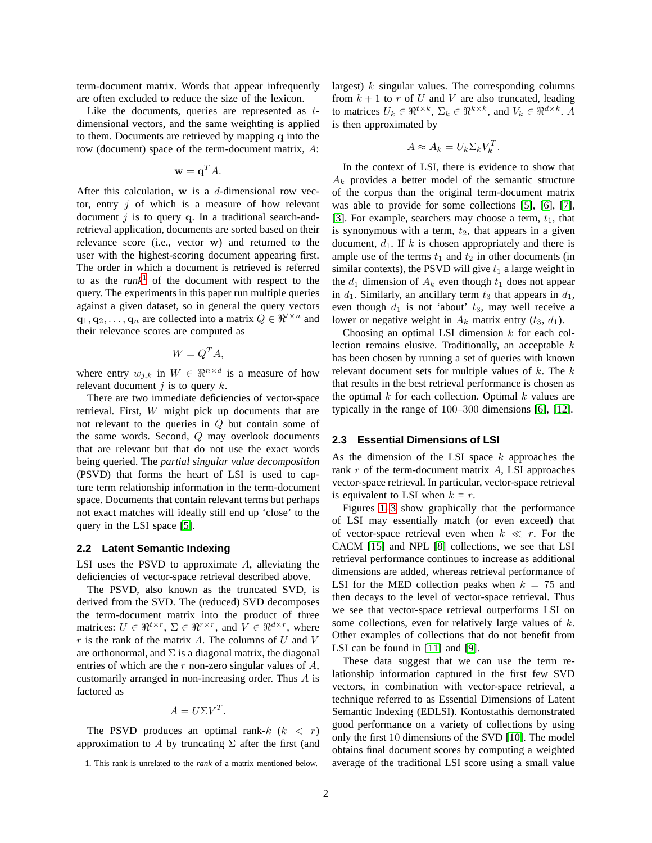term-document matrix. Words that appear infrequently are often excluded to reduce the size of the lexicon.

Like the documents, queries are represented as tdimensional vectors, and the same weighting is applied to them. Documents are retrieved by mapping q into the row (document) space of the term-document matrix, A:

$$
\mathbf{w} = \mathbf{q}^T A.
$$

After this calculation,  $w$  is a d-dimensional row vector, entry  $j$  of which is a measure of how relevant document  $j$  is to query q. In a traditional search-andretrieval application, documents are sorted based on their relevance score (i.e., vector w) and returned to the user with the highest-scoring document appearing first. The order in which a document is retrieved is referred to as the *rank*<sup>1</sup> of the document with respect to the query. The experiments in this paper run multiple queries against a given dataset, so in general the query vectors  $\mathbf{q}_1, \mathbf{q}_2, \ldots, \mathbf{q}_n$  are collected into a matrix  $Q \in \mathbb{R}^{t \times n}$  and their relevance scores are computed as

$$
W = Q^T A,
$$

where entry  $w_{j,k}$  in  $W \in \mathbb{R}^{n \times d}$  is a measure of how relevant document  $j$  is to query  $k$ .

There are two immediate deficiencies of vector-space retrieval. First, W might pick up documents that are not relevant to the queries in Q but contain some of the same words. Second, Q may overlook documents that are relevant but that do not use the exact words being queried. The *partial singular value decomposition* (PSVD) that forms the heart of LSI is used to capture term relationship information in the term-document space. Documents that contain relevant terms but perhaps not exact matches will ideally still end up 'close' to the query in the LSI space [\[5\]](#page-5-1).

#### **2.2 Latent Semantic Indexing**

LSI uses the PSVD to approximate A, alleviating the deficiencies of vector-space retrieval described above.

The PSVD, also known as the truncated SVD, is derived from the SVD. The (reduced) SVD decomposes the term-document matrix into the product of three matrices:  $U \in \Re^{t \times r}$ ,  $\Sigma \in \Re^{r \times r}$ , and  $\hat{V} \in \Re^{d \times r}$ , where  $r$  is the rank of the matrix A. The columns of U and V are orthonormal, and  $\Sigma$  is a diagonal matrix, the diagonal entries of which are the  $r$  non-zero singular values of  $A$ , customarily arranged in non-increasing order. Thus A is factored as

$$
A = U\Sigma V^T.
$$

The PSVD produces an optimal rank- $k$  ( $k < r$ ) approximation to A by truncating  $\Sigma$  after the first (and largest)  $k$  singular values. The corresponding columns from  $k + 1$  to r of U and V are also truncated, leading to matrices  $U_k \in \Re^{t \times k}$ ,  $\Sigma_k \in \Re^{k \times k}$ , and  $V_k \in \Re^{d \times k}$ . A is then approximated by

$$
A \approx A_k = U_k \Sigma_k V_k^T.
$$

In the context of LSI, there is evidence to show that  $A_k$  provides a better model of the semantic structure of the corpus than the original term-document matrix was able to provide for some collections [\[5\]](#page-5-1), [\[6\]](#page-5-3), [\[7\]](#page-5-4), [\[3\]](#page-5-5). For example, searchers may choose a term,  $t_1$ , that is synonymous with a term,  $t_2$ , that appears in a given document,  $d_1$ . If k is chosen appropriately and there is ample use of the terms  $t_1$  and  $t_2$  in other documents (in similar contexts), the PSVD will give  $t_1$  a large weight in the  $d_1$  dimension of  $A_k$  even though  $t_1$  does not appear in  $d_1$ . Similarly, an ancillary term  $t_3$  that appears in  $d_1$ , even though  $d_1$  is not 'about'  $t_3$ , may well receive a lower or negative weight in  $A_k$  matrix entry  $(t_3, d_1)$ .

Choosing an optimal LSI dimension  $k$  for each collection remains elusive. Traditionally, an acceptable  $k$ has been chosen by running a set of queries with known relevant document sets for multiple values of  $k$ . The  $k$ that results in the best retrieval performance is chosen as the optimal  $k$  for each collection. Optimal  $k$  values are typically in the range of 100–300 dimensions [\[6\]](#page-5-3), [\[12\]](#page-5-6).

#### **2.3 Essential Dimensions of LSI**

As the dimension of the LSI space  $k$  approaches the rank  $r$  of the term-document matrix  $A$ , LSI approaches vector-space retrieval. In particular, vector-space retrieval is equivalent to LSI when  $k = r$ .

Figures [1–](#page-2-1)[3](#page-2-2) show graphically that the performance of LSI may essentially match (or even exceed) that of vector-space retrieval even when  $k \ll r$ . For the CACM [\[15\]](#page-5-7) and NPL [\[8\]](#page-5-8) collections, we see that LSI retrieval performance continues to increase as additional dimensions are added, whereas retrieval performance of LSI for the MED collection peaks when  $k = 75$  and then decays to the level of vector-space retrieval. Thus we see that vector-space retrieval outperforms LSI on some collections, even for relatively large values of k. Other examples of collections that do not benefit from LSI can be found in [\[11\]](#page-5-9) and [\[9\]](#page-5-10).

These data suggest that we can use the term relationship information captured in the first few SVD vectors, in combination with vector-space retrieval, a technique referred to as Essential Dimensions of Latent Semantic Indexing (EDLSI). Kontostathis demonstrated good performance on a variety of collections by using only the first 10 dimensions of the SVD [\[10\]](#page-5-0). The model obtains final document scores by computing a weighted average of the traditional LSI score using a small value

<sup>1.</sup> This rank is unrelated to the *rank* of a matrix mentioned below.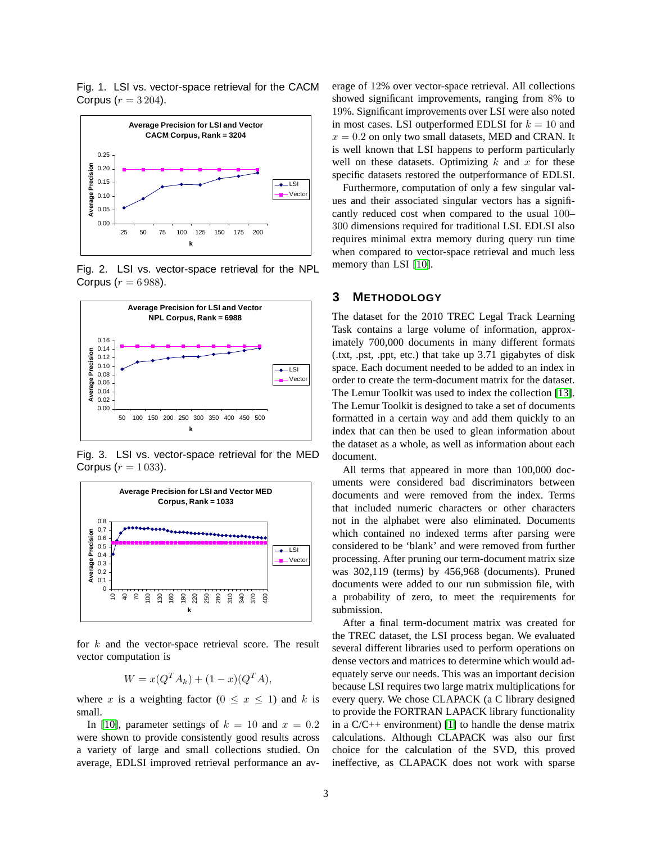<span id="page-2-1"></span>Fig. 1. LSI vs. vector-space retrieval for the CACM Corpus  $(r = 3204)$ .



Fig. 2. LSI vs. vector-space retrieval for the NPL Corpus ( $r = 6988$ ).



<span id="page-2-2"></span>Fig. 3. LSI vs. vector-space retrieval for the MED Corpus ( $r = 1033$ ).



for  $k$  and the vector-space retrieval score. The result vector computation is

$$
W = x(Q^T A_k) + (1 - x)(Q^T A),
$$

where x is a weighting factor  $(0 \le x \le 1)$  and k is small.

In [\[10\]](#page-5-0), parameter settings of  $k = 10$  and  $x = 0.2$ were shown to provide consistently good results across a variety of large and small collections studied. On average, EDLSI improved retrieval performance an average of 12% over vector-space retrieval. All collections showed significant improvements, ranging from 8% to 19%. Significant improvements over LSI were also noted in most cases. LSI outperformed EDLSI for  $k = 10$  and  $x = 0.2$  on only two small datasets, MED and CRAN. It is well known that LSI happens to perform particularly well on these datasets. Optimizing  $k$  and  $x$  for these specific datasets restored the outperformance of EDLSI.

Furthermore, computation of only a few singular values and their associated singular vectors has a significantly reduced cost when compared to the usual 100– 300 dimensions required for traditional LSI. EDLSI also requires minimal extra memory during query run time when compared to vector-space retrieval and much less memory than LSI [\[10\]](#page-5-0).

## <span id="page-2-0"></span>**3 METHODOLOGY**

The dataset for the 2010 TREC Legal Track Learning Task contains a large volume of information, approximately 700,000 documents in many different formats (.txt, .pst, .ppt, etc.) that take up 3.71 gigabytes of disk space. Each document needed to be added to an index in order to create the term-document matrix for the dataset. The Lemur Toolkit was used to index the collection [\[13\]](#page-5-11). The Lemur Toolkit is designed to take a set of documents formatted in a certain way and add them quickly to an index that can then be used to glean information about the dataset as a whole, as well as information about each document.

All terms that appeared in more than 100,000 documents were considered bad discriminators between documents and were removed from the index. Terms that included numeric characters or other characters not in the alphabet were also eliminated. Documents which contained no indexed terms after parsing were considered to be 'blank' and were removed from further processing. After pruning our term-document matrix size was 302,119 (terms) by 456,968 (documents). Pruned documents were added to our run submission file, with a probability of zero, to meet the requirements for submission.

After a final term-document matrix was created for the TREC dataset, the LSI process began. We evaluated several different libraries used to perform operations on dense vectors and matrices to determine which would adequately serve our needs. This was an important decision because LSI requires two large matrix multiplications for every query. We chose CLAPACK (a C library designed to provide the FORTRAN LAPACK library functionality in a  $C/C++$  environment) [\[1\]](#page-4-1) to handle the dense matrix calculations. Although CLAPACK was also our first choice for the calculation of the SVD, this proved ineffective, as CLAPACK does not work with sparse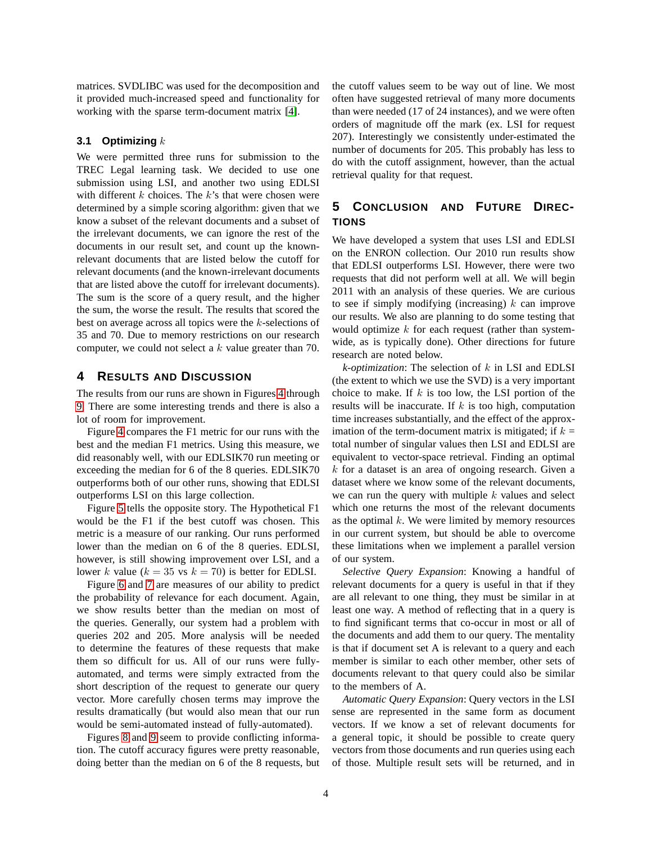matrices. SVDLIBC was used for the decomposition and it provided much-increased speed and functionality for working with the sparse term-document matrix [\[4\]](#page-5-12).

#### **3.1 Optimizing** k

We were permitted three runs for submission to the TREC Legal learning task. We decided to use one submission using LSI, and another two using EDLSI with different  $k$  choices. The  $k$ 's that were chosen were determined by a simple scoring algorithm: given that we know a subset of the relevant documents and a subset of the irrelevant documents, we can ignore the rest of the documents in our result set, and count up the knownrelevant documents that are listed below the cutoff for relevant documents (and the known-irrelevant documents that are listed above the cutoff for irrelevant documents). The sum is the score of a query result, and the higher the sum, the worse the result. The results that scored the best on average across all topics were the k-selections of 35 and 70. Due to memory restrictions on our research computer, we could not select a k value greater than 70.

### **4 RESULTS AND DISCUSSION**

The results from our runs are shown in Figures [4](#page-4-2) through [9.](#page-6-0) There are some interesting trends and there is also a lot of room for improvement.

Figure [4](#page-4-2) compares the F1 metric for our runs with the best and the median F1 metrics. Using this measure, we did reasonably well, with our EDLSIK70 run meeting or exceeding the median for 6 of the 8 queries. EDLSIK70 outperforms both of our other runs, showing that EDLSI outperforms LSI on this large collection.

Figure [5](#page-4-3) tells the opposite story. The Hypothetical F1 would be the F1 if the best cutoff was chosen. This metric is a measure of our ranking. Our runs performed lower than the median on 6 of the 8 queries. EDLSI, however, is still showing improvement over LSI, and a lower k value ( $k = 35$  vs  $k = 70$ ) is better for EDLSI.

Figure [6](#page-5-13) and [7](#page-5-14) are measures of our ability to predict the probability of relevance for each document. Again, we show results better than the median on most of the queries. Generally, our system had a problem with queries 202 and 205. More analysis will be needed to determine the features of these requests that make them so difficult for us. All of our runs were fullyautomated, and terms were simply extracted from the short description of the request to generate our query vector. More carefully chosen terms may improve the results dramatically (but would also mean that our run would be semi-automated instead of fully-automated).

Figures [8](#page-6-1) and [9](#page-6-0) seem to provide conflicting information. The cutoff accuracy figures were pretty reasonable, doing better than the median on 6 of the 8 requests, but the cutoff values seem to be way out of line. We most often have suggested retrieval of many more documents than were needed (17 of 24 instances), and we were often orders of magnitude off the mark (ex. LSI for request 207). Interestingly we consistently under-estimated the number of documents for 205. This probably has less to do with the cutoff assignment, however, than the actual retrieval quality for that request.

# **5 CONCLUSION AND FUTURE DIREC-TIONS**

We have developed a system that uses LSI and EDLSI on the ENRON collection. Our 2010 run results show that EDLSI outperforms LSI. However, there were two requests that did not perform well at all. We will begin 2011 with an analysis of these queries. We are curious to see if simply modifying (increasing)  $k$  can improve our results. We also are planning to do some testing that would optimize  $k$  for each request (rather than systemwide, as is typically done). Other directions for future research are noted below.

*k-optimization*: The selection of k in LSI and EDLSI (the extent to which we use the SVD) is a very important choice to make. If  $k$  is too low, the LSI portion of the results will be inaccurate. If  $k$  is too high, computation time increases substantially, and the effect of the approximation of the term-document matrix is mitigated; if  $k =$ total number of singular values then LSI and EDLSI are equivalent to vector-space retrieval. Finding an optimal  $k$  for a dataset is an area of ongoing research. Given a dataset where we know some of the relevant documents, we can run the query with multiple  $k$  values and select which one returns the most of the relevant documents as the optimal  $k$ . We were limited by memory resources in our current system, but should be able to overcome these limitations when we implement a parallel version of our system.

*Selective Query Expansion*: Knowing a handful of relevant documents for a query is useful in that if they are all relevant to one thing, they must be similar in at least one way. A method of reflecting that in a query is to find significant terms that co-occur in most or all of the documents and add them to our query. The mentality is that if document set A is relevant to a query and each member is similar to each other member, other sets of documents relevant to that query could also be similar to the members of A.

*Automatic Query Expansion*: Query vectors in the LSI sense are represented in the same form as document vectors. If we know a set of relevant documents for a general topic, it should be possible to create query vectors from those documents and run queries using each of those. Multiple result sets will be returned, and in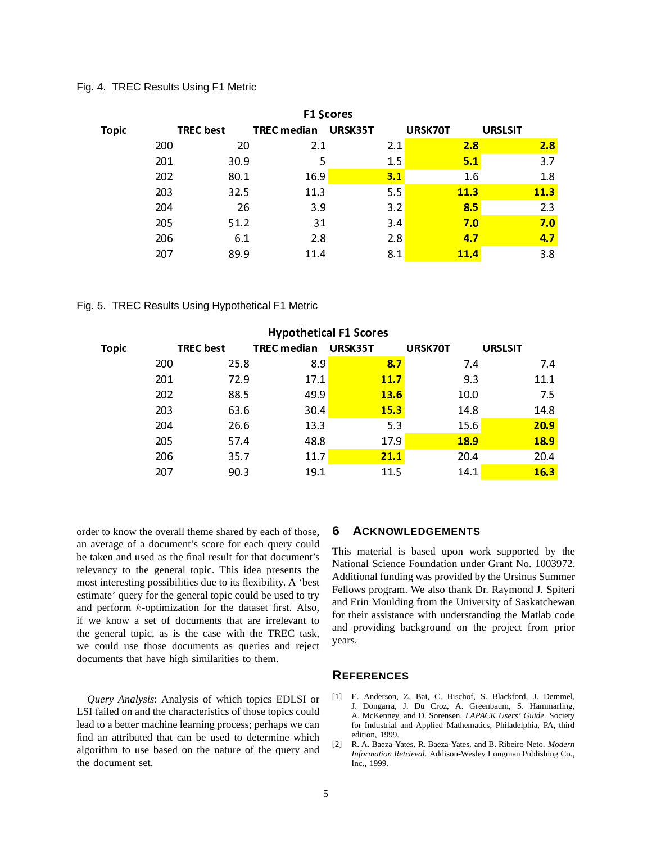Fig. 4. TREC Results Using F1 Metric

<span id="page-4-2"></span>

| <b>F1 Scores</b> |                  |                    |         |             |                |  |  |  |
|------------------|------------------|--------------------|---------|-------------|----------------|--|--|--|
| <b>Topic</b>     | <b>TREC</b> best | <b>TREC</b> median | URSK35T | URSK70T     | <b>URSLSIT</b> |  |  |  |
| 200              | 20               | 2.1                | 2.1     | 2.8         | 2.8            |  |  |  |
| 201              | 30.9             | 5                  | 1.5     | 5.1         | 3.7            |  |  |  |
| 202              | 80.1             | 16.9               | 3.1     | 1.6         | 1.8            |  |  |  |
| 203              | 32.5             | 11.3               | 5.5     | <b>11.3</b> | 11.3           |  |  |  |
| 204              | 26               | 3.9                | 3.2     | 8.5         | 2.3            |  |  |  |
| 205              | 51.2             | 31                 | 3.4     | 7.0         | 7.0            |  |  |  |
| 206              | 6.1              | 2.8                | 2.8     | 4.7         | 4.7            |  |  |  |
| 207              | 89.9             | 11.4               | 8.1     | <b>11.4</b> | 3.8            |  |  |  |

Fig. 5. TREC Results Using Hypothetical F1 Metric

<span id="page-4-3"></span>

| <b>Hypothetical F1 Scores</b> |     |                  |                    |             |             |                |  |  |
|-------------------------------|-----|------------------|--------------------|-------------|-------------|----------------|--|--|
| <b>Topic</b>                  |     | <b>TREC</b> best | <b>TREC</b> median | URSK35T     | URSK70T     | <b>URSLSIT</b> |  |  |
|                               | 200 | 25.8             | 8.9                | 8.7         | 7.4         | 7.4            |  |  |
|                               | 201 | 72.9             | 17.1               | 11.7        | 9.3         | 11.1           |  |  |
|                               | 202 | 88.5             | 49.9               | <b>13.6</b> | 10.0        | 7.5            |  |  |
|                               | 203 | 63.6             | 30.4               | 15.3        | 14.8        | 14.8           |  |  |
|                               | 204 | 26.6             | 13.3               | 5.3         | 15.6        | 20.9           |  |  |
|                               | 205 | 57.4             | 48.8               | 17.9        | <b>18.9</b> | <b>18.9</b>    |  |  |
|                               | 206 | 35.7             | 11.7               | 21.1        | 20.4        | 20.4           |  |  |
|                               | 207 | 90.3             | 19.1               | 11.5        | 14.1        | 16.3           |  |  |

order to know the overall theme shared by each of those, an average of a document's score for each query could be taken and used as the final result for that document's relevancy to the general topic. This idea presents the most interesting possibilities due to its flexibility. A 'best estimate' query for the general topic could be used to try and perform k-optimization for the dataset first. Also, if we know a set of documents that are irrelevant to the general topic, as is the case with the TREC task, we could use those documents as queries and reject documents that have high similarities to them.

*Query Analysis*: Analysis of which topics EDLSI or LSI failed on and the characteristics of those topics could lead to a better machine learning process; perhaps we can find an attributed that can be used to determine which algorithm to use based on the nature of the query and the document set.

#### **6 ACKNOWLEDGEMENTS**

This material is based upon work supported by the National Science Foundation under Grant No. 1003972. Additional funding was provided by the Ursinus Summer Fellows program. We also thank Dr. Raymond J. Spiteri and Erin Moulding from the University of Saskatchewan for their assistance with understanding the Matlab code and providing background on the project from prior years.

#### **REFERENCES**

- <span id="page-4-1"></span>[1] E. Anderson, Z. Bai, C. Bischof, S. Blackford, J. Demmel, J. Dongarra, J. Du Croz, A. Greenbaum, S. Hammarling, A. McKenney, and D. Sorensen. *LAPACK Users' Guide*. Society for Industrial and Applied Mathematics, Philadelphia, PA, third edition, 1999.
- <span id="page-4-0"></span>[2] R. A. Baeza-Yates, R. Baeza-Yates, and B. Ribeiro-Neto. *Modern Information Retrieval*. Addison-Wesley Longman Publishing Co., Inc., 1999.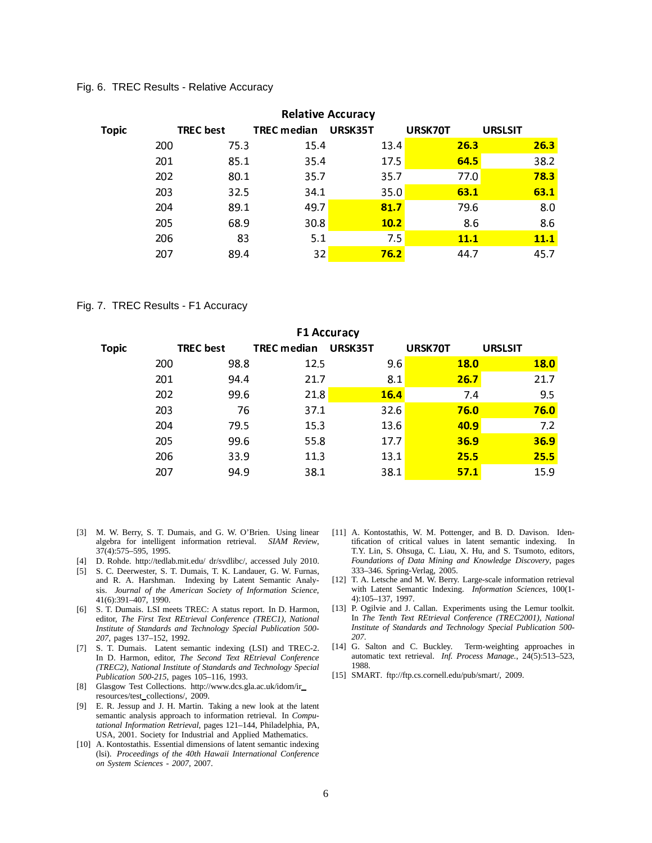Fig. 6. TREC Results - Relative Accuracy

<span id="page-5-13"></span>

| <b>Relative Accuracy</b> |                  |                    |         |             |                |  |  |  |
|--------------------------|------------------|--------------------|---------|-------------|----------------|--|--|--|
| <b>Topic</b>             | <b>TREC</b> best | <b>TREC median</b> | URSK35T | URSK70T     | <b>URSLSIT</b> |  |  |  |
| 200                      | 75.3             | 15.4               | 13.4    | 26.3        | 26.3           |  |  |  |
| 201                      | 85.1             | 35.4               | 17.5    | 64.5        | 38.2           |  |  |  |
| 202                      | 80.1             | 35.7               | 35.7    | 77.0        | 78.3           |  |  |  |
| 203                      | 32.5             | 34.1               | 35.0    | 63.1        | 63.1           |  |  |  |
| 204                      | 89.1             | 49.7               | 81.7    | 79.6        | 8.0            |  |  |  |
| 205                      | 68.9             | 30.8               | 10.2    | 8.6         | 8.6            |  |  |  |
| 206                      | 83               | 5.1                | 7.5     | <u>11.1</u> | <b>11.1</b>    |  |  |  |
| 207                      | 89.4             | 32                 | 76.2    | 44.7        | 45.7           |  |  |  |

#### Fig. 7. TREC Results - F1 Accuracy

<span id="page-5-14"></span>

| <b>F1 Accuracy</b> |     |                  |                    |         |             |                |  |  |  |
|--------------------|-----|------------------|--------------------|---------|-------------|----------------|--|--|--|
| <b>Topic</b>       |     | <b>TREC</b> best | <b>TREC</b> median | URSK35T | URSK70T     | <b>URSLSIT</b> |  |  |  |
|                    | 200 | 98.8             | 12.5               | 9.6     | <b>18.0</b> | <b>18.0</b>    |  |  |  |
|                    | 201 | 94.4             | 21.7               | 8.1     | 26.7        | 21.7           |  |  |  |
|                    | 202 | 99.6             | 21.8               | 16.4    | 7.4         | 9.5            |  |  |  |
|                    | 203 | 76               | 37.1               | 32.6    | 76.0        | 76.0           |  |  |  |
|                    | 204 | 79.5             | 15.3               | 13.6    | <b>40.9</b> | 7.2            |  |  |  |
|                    | 205 | 99.6             | 55.8               | 17.7    | 36.9        | 36.9           |  |  |  |
|                    | 206 | 33.9             | 11.3               | 13.1    | 25.5        | 25.5           |  |  |  |
|                    | 207 | 94.9             | 38.1               | 38.1    | 57.1        | 15.9           |  |  |  |

- <span id="page-5-5"></span>[3] M. W. Berry, S. T. Dumais, and G. W. O'Brien. Using linear algebra for intelligent information retrieval. *SIAM Review*, 37(4):575–595, 1995.
- <span id="page-5-12"></span><span id="page-5-1"></span>[4] D. Rohde. http://tedlab.mit.edu/ dr/svdlibc/, accessed July 2010.
- [5] S. C. Deerwester, S. T. Dumais, T. K. Landauer, G. W. Furnas, and R. A. Harshman. Indexing by Latent Semantic Analysis. *Journal of the American Society of Information Science*, 41(6):391–407, 1990.
- <span id="page-5-3"></span>[6] S. T. Dumais. LSI meets TREC: A status report. In D. Harmon, editor, *The First Text REtrieval Conference (TREC1), National Institute of Standards and Technology Special Publication 500- 207*, pages 137–152, 1992.
- <span id="page-5-4"></span>[7] S. T. Dumais. Latent semantic indexing (LSI) and TREC-2. In D. Harmon, editor, *The Second Text REtrieval Conference (TREC2), National Institute of Standards and Technology Special Publication 500-215*, pages 105–116, 1993.
- <span id="page-5-8"></span>[8] Glasgow Test Collections. http://www.dcs.gla.ac.uk/idom/ir resources/test\_collections/, 2009.
- <span id="page-5-10"></span>[9] E. R. Jessup and J. H. Martin. Taking a new look at the latent semantic analysis approach to information retrieval. In *Computational Information Retrieval*, pages 121–144, Philadelphia, PA, USA, 2001. Society for Industrial and Applied Mathematics.
- <span id="page-5-0"></span>[10] A. Kontostathis. Essential dimensions of latent semantic indexing (lsi). *Proceedings of the 40th Hawaii International Conference on System Sciences - 2007*, 2007.
- <span id="page-5-9"></span>[11] A. Kontostathis, W. M. Pottenger, and B. D. Davison. Identification of critical values in latent semantic indexing. In T.Y. Lin, S. Ohsuga, C. Liau, X. Hu, and S. Tsumoto, editors, *Foundations of Data Mining and Knowledge Discovery*, pages 333–346. Spring-Verlag, 2005.
- <span id="page-5-6"></span>[12] T. A. Letsche and M. W. Berry. Large-scale information retrieval with Latent Semantic Indexing. *Information Sciences*, 100(1- 4):105–137, 1997.
- <span id="page-5-11"></span>[13] P. Ogilvie and J. Callan. Experiments using the Lemur toolkit. In *The Tenth Text REtrieval Conference (TREC2001), National Institute of Standards and Technology Special Publication 500- 207*.
- <span id="page-5-2"></span>[14] G. Salton and C. Buckley. Term-weighting approaches in automatic text retrieval. *Inf. Process Manage.*, 24(5):513–523, 1988.
- <span id="page-5-7"></span>[15] SMART. ftp://ftp.cs.cornell.edu/pub/smart/, 2009.